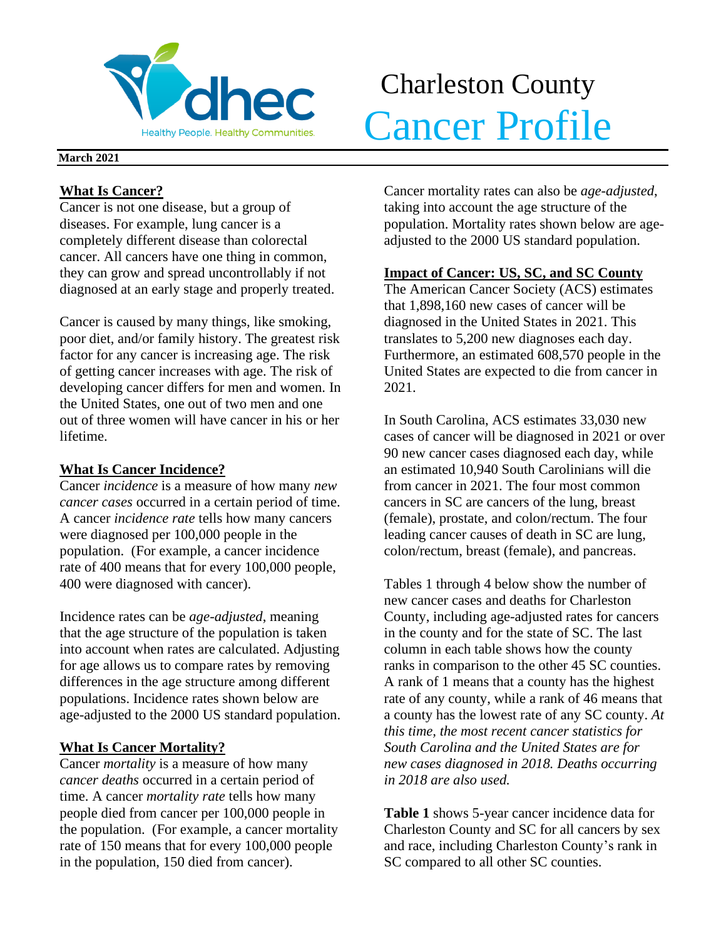

# Charleston County Merchantle Cancer Profile

#### **March 2021**

## **What Is Cancer?**

Cancer is not one disease, but a group of diseases. For example, lung cancer is a completely different disease than colorectal cancer. All cancers have one thing in common, they can grow and spread uncontrollably if not diagnosed at an early stage and properly treated.

Cancer is caused by many things, like smoking, poor diet, and/or family history. The greatest risk factor for any cancer is increasing age. The risk of getting cancer increases with age. The risk of developing cancer differs for men and women. In the United States, one out of two men and one out of three women will have cancer in his or her lifetime.

## **What Is Cancer Incidence?**

Cancer *incidence* is a measure of how many *new cancer cases* occurred in a certain period of time. A cancer *incidence rate* tells how many cancers were diagnosed per 100,000 people in the population. (For example, a cancer incidence rate of 400 means that for every 100,000 people, 400 were diagnosed with cancer).

Incidence rates can be *age-adjusted*, meaning that the age structure of the population is taken into account when rates are calculated. Adjusting for age allows us to compare rates by removing differences in the age structure among different populations. Incidence rates shown below are age-adjusted to the 2000 US standard population.

# **What Is Cancer Mortality?**

Cancer *mortality* is a measure of how many *cancer deaths* occurred in a certain period of time. A cancer *mortality rate* tells how many people died from cancer per 100,000 people in the population. (For example, a cancer mortality rate of 150 means that for every 100,000 people in the population, 150 died from cancer).

Cancer mortality rates can also be *age-adjusted*, taking into account the age structure of the population. Mortality rates shown below are ageadjusted to the 2000 US standard population.

# **Impact of Cancer: US, SC, and SC County**

The American Cancer Society (ACS) estimates that 1,898,160 new cases of cancer will be diagnosed in the United States in 2021. This translates to 5,200 new diagnoses each day. Furthermore, an estimated 608,570 people in the United States are expected to die from cancer in 2021.

In South Carolina, ACS estimates 33,030 new cases of cancer will be diagnosed in 2021 or over 90 new cancer cases diagnosed each day, while an estimated 10,940 South Carolinians will die from cancer in 2021. The four most common cancers in SC are cancers of the lung, breast (female), prostate, and colon/rectum. The four leading cancer causes of death in SC are lung, colon/rectum, breast (female), and pancreas.

Tables 1 through 4 below show the number of new cancer cases and deaths for Charleston County, including age-adjusted rates for cancers in the county and for the state of SC. The last column in each table shows how the county ranks in comparison to the other 45 SC counties. A rank of 1 means that a county has the highest rate of any county, while a rank of 46 means that a county has the lowest rate of any SC county. *At this time, the most recent cancer statistics for South Carolina and the United States are for new cases diagnosed in 2018. Deaths occurring in 2018 are also used.*

**Table 1** shows 5-year cancer incidence data for Charleston County and SC for all cancers by sex and race, including Charleston County's rank in SC compared to all other SC counties.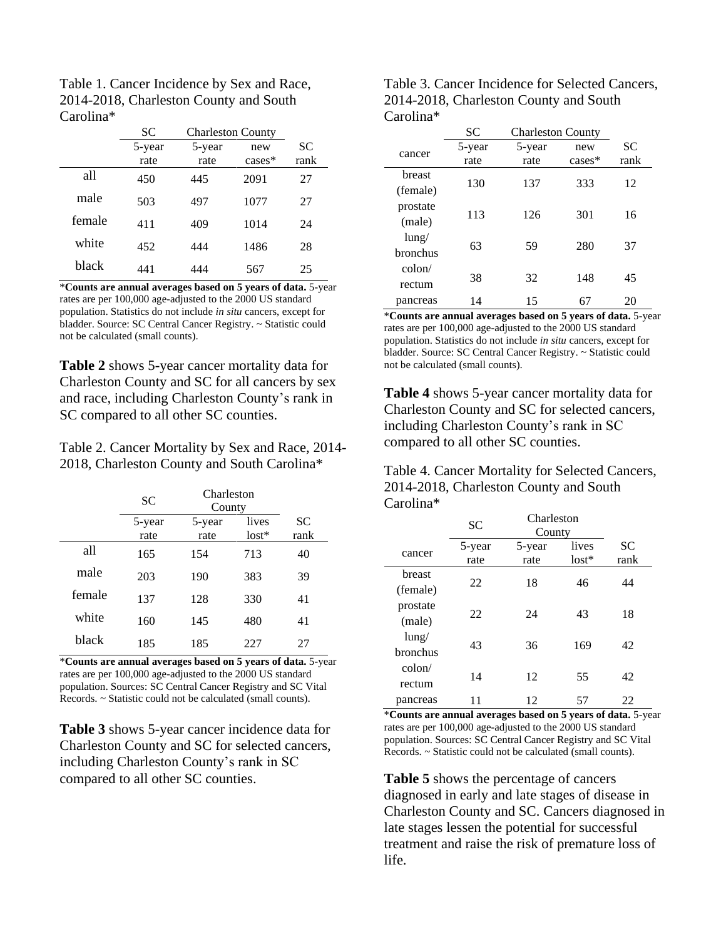| Table 1. Cancer Incidence by Sex and Race, |
|--------------------------------------------|
| 2014-2018, Charleston County and South     |
| Carolina*                                  |

|        | SС     | <b>Charleston County</b> |          |           |
|--------|--------|--------------------------|----------|-----------|
|        | 5-year | 5-year                   | new      | <b>SC</b> |
|        | rate   | rate                     | $cases*$ | rank      |
| all    | 450    | 445                      | 2091     | 27        |
| male   | 503    | 497                      | 1077     | 27        |
| female | 411    | 409                      | 1014     | 24        |
| white  | 452    | 444                      | 1486     | 28        |
| black  | 441    | 444                      | 567      | 25        |

\***Counts are annual averages based on 5 years of data.** 5-year rates are per 100,000 age-adjusted to the 2000 US standard population. Statistics do not include *in situ* cancers, except for bladder. Source: SC Central Cancer Registry. ~ Statistic could not be calculated (small counts).

**Table 2** shows 5-year cancer mortality data for Charleston County and SC for all cancers by sex and race, including Charleston County's rank in SC compared to all other SC counties.

Table 2. Cancer Mortality by Sex and Race, 2014- 2018, Charleston County and South Carolina\*

|        | <b>SC</b>      | Charleston<br>County |                  |                   |
|--------|----------------|----------------------|------------------|-------------------|
|        | 5-year<br>rate | 5-year<br>rate       | lives<br>$lost*$ | <b>SC</b><br>rank |
| all    | 165            | 154                  | 713              | 40                |
| male   | 203            | 190                  | 383              | 39                |
| female | 137            | 128                  | 330              | 41                |
| white  | 160            | 145                  | 480              | 41                |
| black  | 185            | 185                  | 227              | 27                |

\***Counts are annual averages based on 5 years of data.** 5-year rates are per 100,000 age-adjusted to the 2000 US standard population. Sources: SC Central Cancer Registry and SC Vital Records. ~ Statistic could not be calculated (small counts).

**Table 3** shows 5-year cancer incidence data for Charleston County and SC for selected cancers, including Charleston County's rank in SC compared to all other SC counties.

| Table 3. Cancer Incidence for Selected Cancers, |
|-------------------------------------------------|
| 2014-2018, Charleston County and South          |
| Carolina*                                       |

|                 | <b>SC</b> | <b>Charleston County</b> |          |           |
|-----------------|-----------|--------------------------|----------|-----------|
| cancer          | 5-year    | 5-year                   | new      | <b>SC</b> |
|                 | rate      | rate                     | $cases*$ | rank      |
| breast          |           |                          |          |           |
| (female)        | 130       | 137                      | 333      | 12        |
| prostate        |           | 126                      |          |           |
| (male)          | 113       |                          | 301      | 16        |
| $l$ ung/        |           |                          |          |           |
| bronchus        | 63        | 59                       | 280      | 37        |
| $\text{colon}/$ |           |                          |          |           |
| rectum          | 38        | 32                       | 148      | 45        |
| pancreas        | 14        | 15                       | 67       | 20        |

\***Counts are annual averages based on 5 years of data.** 5-year rates are per 100,000 age-adjusted to the 2000 US standard population. Statistics do not include *in situ* cancers, except for bladder. Source: SC Central Cancer Registry. ~ Statistic could not be calculated (small counts).

**Table 4** shows 5-year cancer mortality data for Charleston County and SC for selected cancers, including Charleston County's rank in SC compared to all other SC counties.

Table 4. Cancer Mortality for Selected Cancers, 2014-2018, Charleston County and South Carolina\*

|                          | SC     | Charleston<br>County |         |           |
|--------------------------|--------|----------------------|---------|-----------|
|                          | 5-year | 5-year               | lives   | <b>SC</b> |
| cancer<br>rate           |        | rate                 | $lost*$ | rank      |
| breast                   | 22     | 18                   | 46      | 44        |
| (female)                 |        |                      |         |           |
| prostate                 | 22     | 24                   | 43      | 18        |
| (male)                   |        |                      |         |           |
| lung/<br><b>bronchus</b> | 43     | 36                   | 169     | 42        |
| $\text{colon}/$          |        |                      |         |           |
| rectum                   | 14     | 12                   | 55      | 42        |
| pancreas                 | 11     | 12                   | 57      | 22        |

\***Counts are annual averages based on 5 years of data.** 5-year rates are per 100,000 age-adjusted to the 2000 US standard population. Sources: SC Central Cancer Registry and SC Vital Records. ~ Statistic could not be calculated (small counts).

**Table 5** shows the percentage of cancers diagnosed in early and late stages of disease in Charleston County and SC. Cancers diagnosed in late stages lessen the potential for successful treatment and raise the risk of premature loss of life.